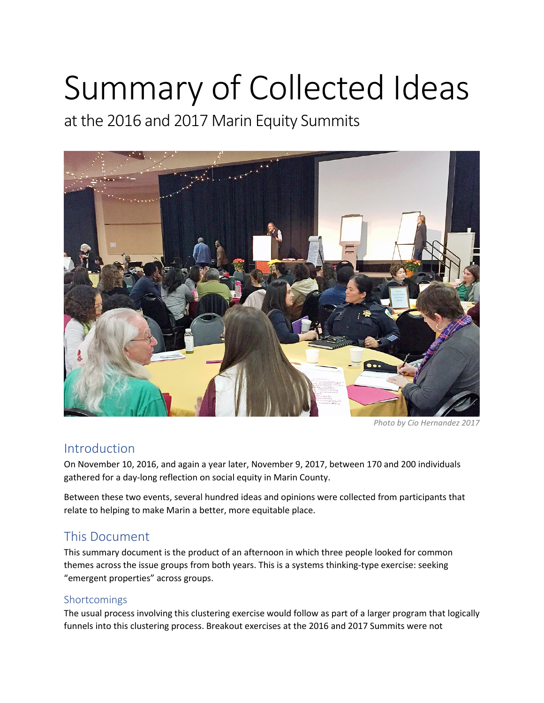# Summary of Collected Ideas

at the 2016 and 2017 Marin Equity Summits



*Photo by Cio Hernandez 2017*

### Introduction

On November 10, 2016, and again a year later, November 9, 2017, between 170 and 200 individuals gathered for a day-long reflection on social equity in Marin County.

Between these two events, several hundred ideas and opinions were collected from participants that relate to helping to make Marin a better, more equitable place.

## This Document

This summary document is the product of an afternoon in which three people looked for common themes across the issue groups from both years. This is a systems thinking-type exercise: seeking "emergent properties" across groups.

#### Shortcomings

The usual process involving this clustering exercise would follow as part of a larger program that logically funnels into this clustering process. Breakout exercises at the 2016 and 2017 Summits were not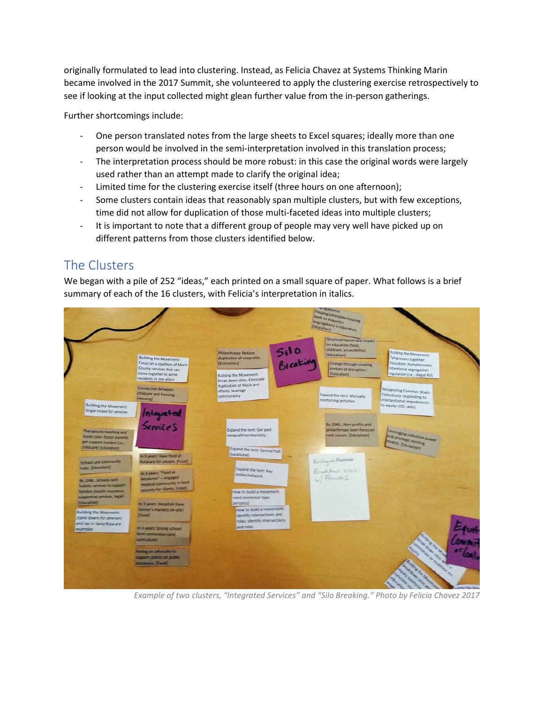originally formulated to lead into clustering. Instead, as Felicia Chavez at Systems Thinking Marin became involved in the 2017 Summit, she volunteered to apply the clustering exercise retrospectively to see if looking at the input collected might glean further value from the in-person gatherings.

Further shortcomings include:

- One person translated notes from the large sheets to Excel squares; ideally more than one person would be involved in the semi-interpretation involved in this translation process;
- The interpretation process should be more robust: in this case the original words were largely used rather than an attempt made to clarify the original idea;
- Limited time for the clustering exercise itself (three hours on one afternoon);
- Some clusters contain ideas that reasonably span multiple clusters, but with few exceptions, time did not allow for duplication of those multi-faceted ideas into multiple clusters;
- It is important to note that a different group of people may very well have picked up on different patterns from those clusters identified below.

## The Clusters

We began with a pile of 252 "ideas," each printed on a small square of paper. What follows is a brief summary of each of the 16 clusters, with Felicia's interpretation in italics.



*Example of two clusters, "Integrated Services" and "Silo Breaking." Photo by Felicia Chavez 2017*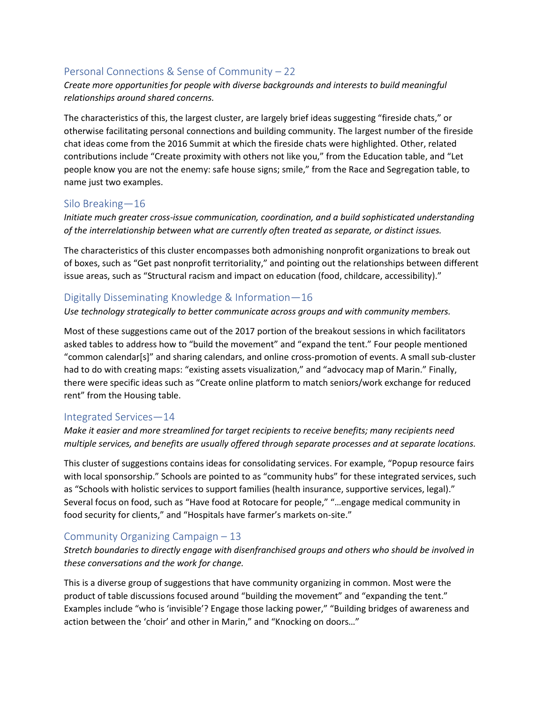#### Personal Connections & Sense of Community – 22

#### *Create more opportunities for people with diverse backgrounds and interests to build meaningful relationships around shared concerns.*

The characteristics of this, the largest cluster, are largely brief ideas suggesting "fireside chats," or otherwise facilitating personal connections and building community. The largest number of the fireside chat ideas come from the 2016 Summit at which the fireside chats were highlighted. Other, related contributions include "Create proximity with others not like you," from the Education table, and "Let people know you are not the enemy: safe house signs; smile," from the Race and Segregation table, to name just two examples.

#### Silo Breaking—16

*Initiate much greater cross-issue communication, coordination, and a build sophisticated understanding of the interrelationship between what are currently often treated as separate, or distinct issues.* 

The characteristics of this cluster encompasses both admonishing nonprofit organizations to break out of boxes, such as "Get past nonprofit territoriality," and pointing out the relationships between different issue areas, such as "Structural racism and impact on education (food, childcare, accessibility)."

#### Digitally Disseminating Knowledge & Information—16

*Use technology strategically to better communicate across groups and with community members.*

Most of these suggestions came out of the 2017 portion of the breakout sessions in which facilitators asked tables to address how to "build the movement" and "expand the tent." Four people mentioned "common calendar[s]" and sharing calendars, and online cross-promotion of events. A small sub-cluster had to do with creating maps: "existing assets visualization," and "advocacy map of Marin." Finally, there were specific ideas such as "Create online platform to match seniors/work exchange for reduced rent" from the Housing table.

#### Integrated Services—14

*Make it easier and more streamlined for target recipients to receive benefits; many recipients need multiple services, and benefits are usually offered through separate processes and at separate locations.*

This cluster of suggestions contains ideas for consolidating services. For example, "Popup resource fairs with local sponsorship." Schools are pointed to as "community hubs" for these integrated services, such as "Schools with holistic services to support families (health insurance, supportive services, legal)." Several focus on food, such as "Have food at Rotocare for people," "…engage medical community in food security for clients," and "Hospitals have farmer's markets on-site."

#### Community Organizing Campaign – 13

*Stretch boundaries to directly engage with disenfranchised groups and others who should be involved in these conversations and the work for change.*

This is a diverse group of suggestions that have community organizing in common. Most were the product of table discussions focused around "building the movement" and "expanding the tent." Examples include "who is 'invisible'? Engage those lacking power," "Building bridges of awareness and action between the 'choir' and other in Marin," and "Knocking on doors…"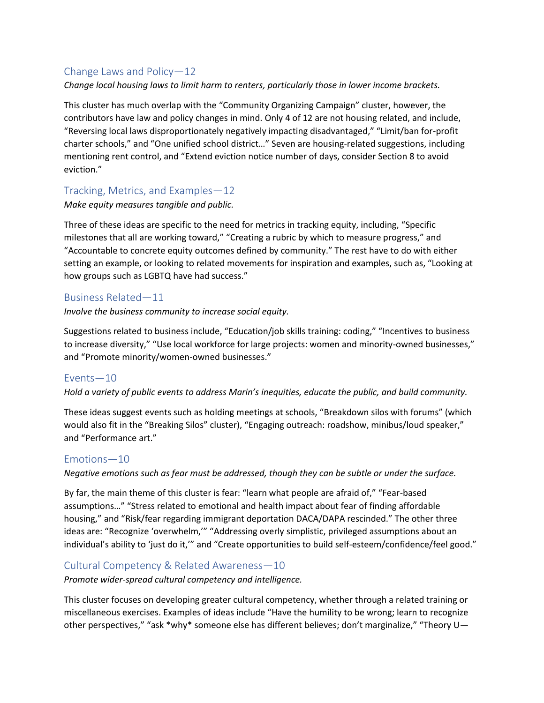#### Change Laws and Policy—12

*Change local housing laws to limit harm to renters, particularly those in lower income brackets.* 

This cluster has much overlap with the "Community Organizing Campaign" cluster, however, the contributors have law and policy changes in mind. Only 4 of 12 are not housing related, and include, "Reversing local laws disproportionately negatively impacting disadvantaged," "Limit/ban for-profit charter schools," and "One unified school district…" Seven are housing-related suggestions, including mentioning rent control, and "Extend eviction notice number of days, consider Section 8 to avoid eviction."

#### Tracking, Metrics, and Examples—12

*Make equity measures tangible and public.*

Three of these ideas are specific to the need for metrics in tracking equity, including, "Specific milestones that all are working toward," "Creating a rubric by which to measure progress," and "Accountable to concrete equity outcomes defined by community." The rest have to do with either setting an example, or looking to related movements for inspiration and examples, such as, "Looking at how groups such as LGBTQ have had success."

#### Business Related—11

*Involve the business community to increase social equity.*

Suggestions related to business include, "Education/job skills training: coding," "Incentives to business to increase diversity," "Use local workforce for large projects: women and minority-owned businesses," and "Promote minority/women-owned businesses."

#### Events—10

*Hold a variety of public events to address Marin's inequities, educate the public, and build community.*

These ideas suggest events such as holding meetings at schools, "Breakdown silos with forums" (which would also fit in the "Breaking Silos" cluster), "Engaging outreach: roadshow, minibus/loud speaker," and "Performance art."

#### Emotions—10

*Negative emotions such as fear must be addressed, though they can be subtle or under the surface.* 

By far, the main theme of this cluster is fear: "learn what people are afraid of," "Fear-based assumptions…" "Stress related to emotional and health impact about fear of finding affordable housing," and "Risk/fear regarding immigrant deportation DACA/DAPA rescinded." The other three ideas are: "Recognize 'overwhelm,'" "Addressing overly simplistic, privileged assumptions about an individual's ability to 'just do it,'" and "Create opportunities to build self-esteem/confidence/feel good."

#### Cultural Competency & Related Awareness—10

*Promote wider-spread cultural competency and intelligence.* 

This cluster focuses on developing greater cultural competency, whether through a related training or miscellaneous exercises. Examples of ideas include "Have the humility to be wrong; learn to recognize other perspectives," "ask \*why\* someone else has different believes; don't marginalize," "Theory U—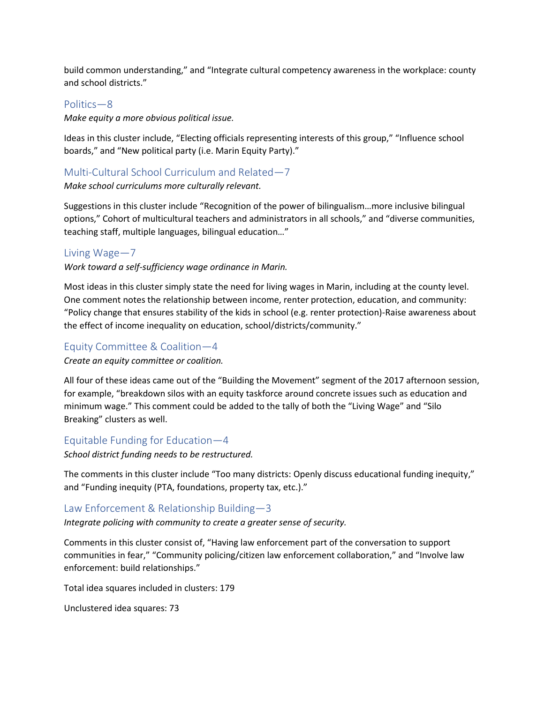build common understanding," and "Integrate cultural competency awareness in the workplace: county and school districts."

#### Politics—8

*Make equity a more obvious political issue.*

Ideas in this cluster include, "Electing officials representing interests of this group," "Influence school boards," and "New political party (i.e. Marin Equity Party)."

#### Multi-Cultural School Curriculum and Related—7

#### *Make school curriculums more culturally relevant.*

Suggestions in this cluster include "Recognition of the power of bilingualism…more inclusive bilingual options," Cohort of multicultural teachers and administrators in all schools," and "diverse communities, teaching staff, multiple languages, bilingual education…"

#### Living Wage—7

*Work toward a self-sufficiency wage ordinance in Marin.*

Most ideas in this cluster simply state the need for living wages in Marin, including at the county level. One comment notes the relationship between income, renter protection, education, and community: "Policy change that ensures stability of the kids in school (e.g. renter protection)-Raise awareness about the effect of income inequality on education, school/districts/community."

#### Equity Committee & Coalition—4

*Create an equity committee or coalition.* 

All four of these ideas came out of the "Building the Movement" segment of the 2017 afternoon session, for example, "breakdown silos with an equity taskforce around concrete issues such as education and minimum wage." This comment could be added to the tally of both the "Living Wage" and "Silo Breaking" clusters as well.

#### Equitable Funding for Education—4

*School district funding needs to be restructured.* 

The comments in this cluster include "Too many districts: Openly discuss educational funding inequity," and "Funding inequity (PTA, foundations, property tax, etc.)."

#### Law Enforcement & Relationship Building—3

*Integrate policing with community to create a greater sense of security.* 

Comments in this cluster consist of, "Having law enforcement part of the conversation to support communities in fear," "Community policing/citizen law enforcement collaboration," and "Involve law enforcement: build relationships."

Total idea squares included in clusters: 179

Unclustered idea squares: 73